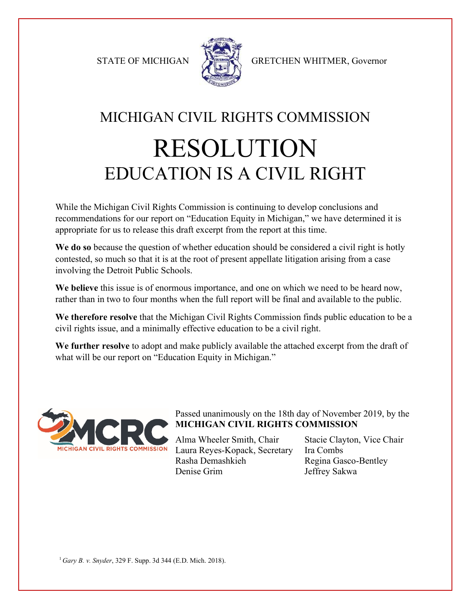

STATE OF MICHIGAN STATE OF MICHIGAN

## MICHIGAN CIVIL RIGHTS COMMISSION RESOLUTION EDUCATION IS A CIVIL RIGHT

While the Michigan Civil Rights Commission is continuing to develop conclusions and recommendations for our report on "Education Equity in Michigan," we have determined it is appropriate for us to release this draft excerpt from the report at this time.

**We do so** because the question of whether education should be considered a civil right is hotly contested, so much so that it is at the root of present appellate litigation arising from a case involving the Detroit Public Schools.

**We believe** this issue is of enormous importance, and one on which we need to be heard now, rather than in two to four months when the full report will be final and available to the public.

**We therefore resolve** that the Michigan Civil Rights Commission finds public education to be a civil rights issue, and a minimally effective education to be a civil right.

**We further resolve** to adopt and make publicly available the attached excerpt from the draft of what will be our report on "Education Equity in Michigan."



## Passed unanimously on the 18th day of November 2019, by the **MICHIGAN CIVIL RIGHTS COMMISSION**

Alma Wheeler Smith, Chair Stacie Clayton, Vice Chair Laura Reyes-Kopack, Secretary Ira Combs Rasha Demashkieh Regina Gasco-Bentley Denise Grim Jeffrey Sakwa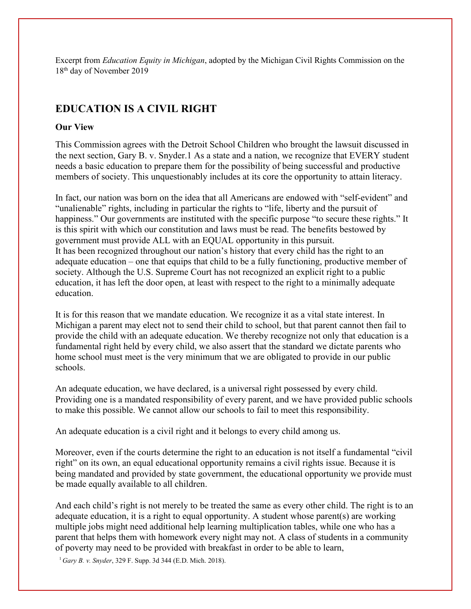Excerpt from *Education Equity in Michigan*, adopted by the Michigan Civil Rights Commission on the 18th day of November 2019

## **EDUCATION IS A CIVIL RIGHT**

## **Our View**

This Commission agrees with the Detroit School Children who brought the lawsuit discussed in the next section, Gary B. v. Snyder.1 As a state and a nation, we recognize that EVERY student needs a basic education to prepare them for the possibility of being successful and productive members of society. This unquestionably includes at its core the opportunity to attain literacy.

In fact, our nation was born on the idea that all Americans are endowed with "self-evident" and "unalienable" rights, including in particular the rights to "life, liberty and the pursuit of happiness." Our governments are instituted with the specific purpose "to secure these rights." It is this spirit with which our constitution and laws must be read. The benefits bestowed by government must provide ALL with an EQUAL opportunity in this pursuit. It has been recognized throughout our nation's history that every child has the right to an adequate education – one that equips that child to be a fully functioning, productive member of society. Although the U.S. Supreme Court has not recognized an explicit right to a public education, it has left the door open, at least with respect to the right to a minimally adequate education.

It is for this reason that we mandate education. We recognize it as a vital state interest. In Michigan a parent may elect not to send their child to school, but that parent cannot then fail to provide the child with an adequate education. We thereby recognize not only that education is a fundamental right held by every child, we also assert that the standard we dictate parents who home school must meet is the very minimum that we are obligated to provide in our public schools.

An adequate education, we have declared, is a universal right possessed by every child. Providing one is a mandated responsibility of every parent, and we have provided public schools to make this possible. We cannot allow our schools to fail to meet this responsibility.

An adequate education is a civil right and it belongs to every child among us.

Moreover, even if the courts determine the right to an education is not itself a fundamental "civil right" on its own, an equal educational opportunity remains a civil rights issue. Because it is being mandated and provided by state government, the educational opportunity we provide must be made equally available to all children.

And each child's right is not merely to be treated the same as every other child. The right is to an adequate education, it is a right to equal opportunity. A student whose parent(s) are working multiple jobs might need additional help learning multiplication tables, while one who has a parent that helps them with homework every night may not. A class of students in a community of poverty may need to be provided with breakfast in order to be able to learn,

<sup>1</sup>*Gary B. v. Snyder*, 329 F. Supp. 3d 344 (E.D. Mich. 2018).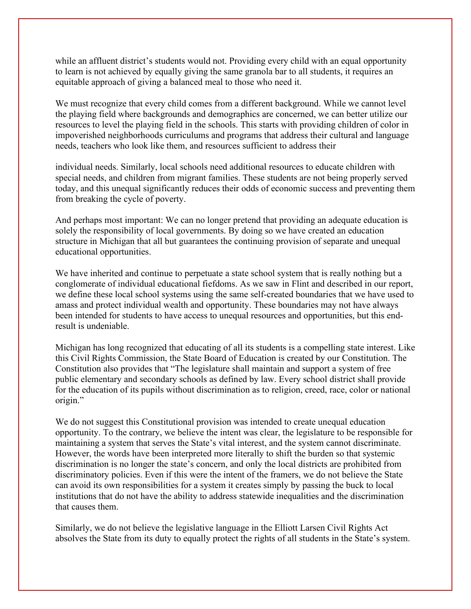while an affluent district's students would not. Providing every child with an equal opportunity to learn is not achieved by equally giving the same granola bar to all students, it requires an equitable approach of giving a balanced meal to those who need it.

We must recognize that every child comes from a different background. While we cannot level the playing field where backgrounds and demographics are concerned, we can better utilize our resources to level the playing field in the schools. This starts with providing children of color in impoverished neighborhoods curriculums and programs that address their cultural and language needs, teachers who look like them, and resources sufficient to address their

individual needs. Similarly, local schools need additional resources to educate children with special needs, and children from migrant families. These students are not being properly served today, and this unequal significantly reduces their odds of economic success and preventing them from breaking the cycle of poverty.

And perhaps most important: We can no longer pretend that providing an adequate education is solely the responsibility of local governments. By doing so we have created an education structure in Michigan that all but guarantees the continuing provision of separate and unequal educational opportunities.

We have inherited and continue to perpetuate a state school system that is really nothing but a conglomerate of individual educational fiefdoms. As we saw in Flint and described in our report, we define these local school systems using the same self-created boundaries that we have used to amass and protect individual wealth and opportunity. These boundaries may not have always been intended for students to have access to unequal resources and opportunities, but this endresult is undeniable.

Michigan has long recognized that educating of all its students is a compelling state interest. Like this Civil Rights Commission, the State Board of Education is created by our Constitution. The Constitution also provides that "The legislature shall maintain and support a system of free public elementary and secondary schools as defined by law. Every school district shall provide for the education of its pupils without discrimination as to religion, creed, race, color or national origin."

We do not suggest this Constitutional provision was intended to create unequal education opportunity. To the contrary, we believe the intent was clear, the legislature to be responsible for maintaining a system that serves the State's vital interest, and the system cannot discriminate. However, the words have been interpreted more literally to shift the burden so that systemic discrimination is no longer the state's concern, and only the local districts are prohibited from discriminatory policies. Even if this were the intent of the framers, we do not believe the State can avoid its own responsibilities for a system it creates simply by passing the buck to local institutions that do not have the ability to address statewide inequalities and the discrimination that causes them.

Similarly, we do not believe the legislative language in the Elliott Larsen Civil Rights Act absolves the State from its duty to equally protect the rights of all students in the State's system.